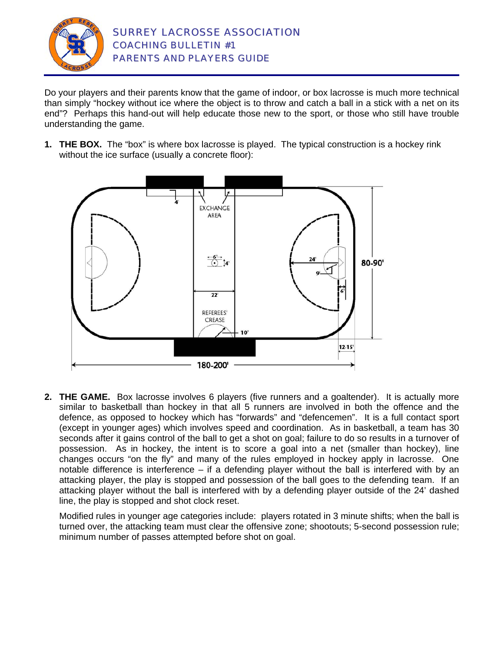

Do your players and their parents know that the game of indoor, or box lacrosse is much more technical than simply "hockey without ice where the object is to throw and catch a ball in a stick with a net on its end"? Perhaps this hand-out will help educate those new to the sport, or those who still have trouble understanding the game.

**1. THE BOX.** The "box" is where box lacrosse is played. The typical construction is a hockey rink without the ice surface (usually a concrete floor):



**2. THE GAME.** Box lacrosse involves 6 players (five runners and a goaltender). It is actually more similar to basketball than hockey in that all 5 runners are involved in both the offence and the defence, as opposed to hockey which has "forwards" and "defencemen". It is a full contact sport (except in younger ages) which involves speed and coordination. As in basketball, a team has 30 seconds after it gains control of the ball to get a shot on goal; failure to do so results in a turnover of possession. As in hockey, the intent is to score a goal into a net (smaller than hockey), line changes occurs "on the fly" and many of the rules employed in hockey apply in lacrosse. One notable difference is interference – if a defending player without the ball is interfered with by an attacking player, the play is stopped and possession of the ball goes to the defending team. If an attacking player without the ball is interfered with by a defending player outside of the 24' dashed line, the play is stopped and shot clock reset.

Modified rules in younger age categories include: players rotated in 3 minute shifts; when the ball is turned over, the attacking team must clear the offensive zone; shootouts; 5-second possession rule; minimum number of passes attempted before shot on goal.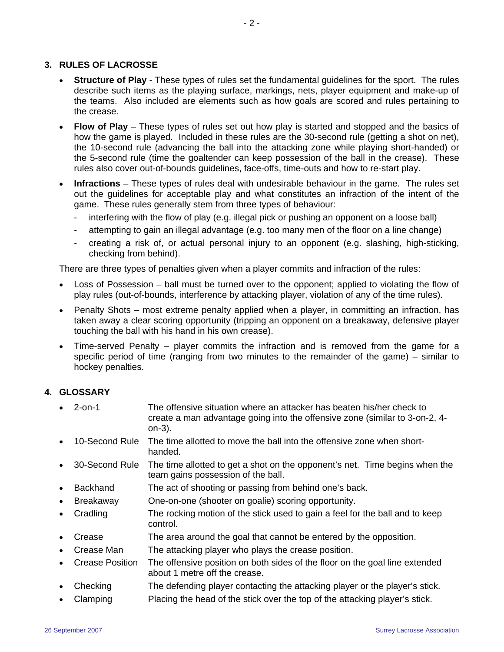#### **3. RULES OF LACROSSE**

- **Structure of Play** These types of rules set the fundamental guidelines for the sport. The rules describe such items as the playing surface, markings, nets, player equipment and make-up of the teams. Also included are elements such as how goals are scored and rules pertaining to the crease.
- **Flow of Play** These types of rules set out how play is started and stopped and the basics of how the game is played. Included in these rules are the 30-second rule (getting a shot on net), the 10-second rule (advancing the ball into the attacking zone while playing short-handed) or the 5-second rule (time the goaltender can keep possession of the ball in the crease). These rules also cover out-of-bounds guidelines, face-offs, time-outs and how to re-start play.
- **Infractions** These types of rules deal with undesirable behaviour in the game. The rules set out the guidelines for acceptable play and what constitutes an infraction of the intent of the game. These rules generally stem from three types of behaviour:
	- interfering with the flow of play (e.g. illegal pick or pushing an opponent on a loose ball)
	- attempting to gain an illegal advantage (e.g. too many men of the floor on a line change)
	- creating a risk of, or actual personal injury to an opponent (e.g. slashing, high-sticking, checking from behind).

There are three types of penalties given when a player commits and infraction of the rules:

- Loss of Possession ball must be turned over to the opponent; applied to violating the flow of play rules (out-of-bounds, interference by attacking player, violation of any of the time rules).
- Penalty Shots most extreme penalty applied when a player, in committing an infraction, has taken away a clear scoring opportunity (tripping an opponent on a breakaway, defensive player touching the ball with his hand in his own crease).
- Time-served Penalty player commits the infraction and is removed from the game for a specific period of time (ranging from two minutes to the remainder of the game) – similar to hockey penalties.

# **4. GLOSSARY**

- 2-on-1 The offensive situation where an attacker has beaten his/her check to create a man advantage going into the offensive zone (similar to 3-on-2, 4 on-3).
- 10-Second Rule The time allotted to move the ball into the offensive zone when shorthanded.
- 30-Second Rule The time allotted to get a shot on the opponent's net. Time begins when the team gains possession of the ball.
- Backhand The act of shooting or passing from behind one's back.
- Breakaway One-on-one (shooter on goalie) scoring opportunity.
- Cradling The rocking motion of the stick used to gain a feel for the ball and to keep control.
- Crease The area around the goal that cannot be entered by the opposition.
- Crease Man The attacking player who plays the crease position.
- Crease Position The offensive position on both sides of the floor on the goal line extended about 1 metre off the crease.
- Checking The defending player contacting the attacking player or the player's stick.
- Clamping Placing the head of the stick over the top of the attacking player's stick.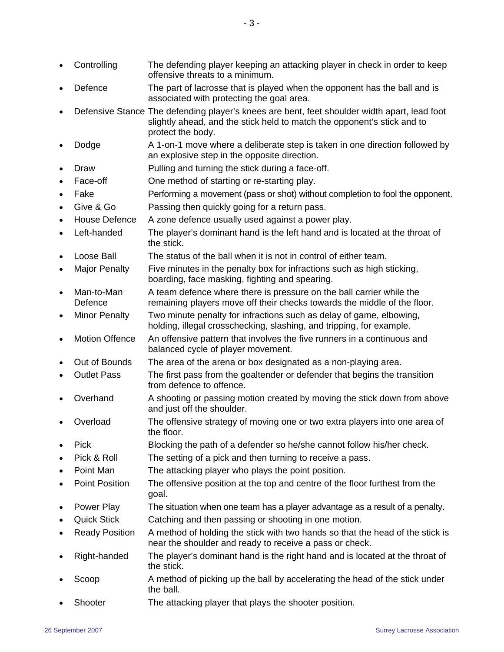- Controlling The defending player keeping an attacking player in check in order to keep offensive threats to a minimum.
- Defence The part of lacrosse that is played when the opponent has the ball and is associated with protecting the goal area.
- Defensive Stance The defending player's knees are bent, feet shoulder width apart, lead foot slightly ahead, and the stick held to match the opponent's stick and to protect the body.
- Dodge **A** 1-on-1 move where a deliberate step is taken in one direction followed by an explosive step in the opposite direction.
- Draw Pulling and turning the stick during a face-off.
- Face-off **One method of starting or re-starting play.**
- Fake **Performing a movement (pass or shot) without completion to fool the opponent.** Give & Go Passing then quickly going for a return pass.
- House Defence A zone defence usually used against a power play.
- Left-handed The player's dominant hand is the left hand and is located at the throat of the stick.
- Loose Ball The status of the ball when it is not in control of either team.
- Major Penalty Five minutes in the penalty box for infractions such as high sticking, boarding, face masking, fighting and spearing.
- Man-to-Man Defence A team defence where there is pressure on the ball carrier while the remaining players move off their checks towards the middle of the floor.
- Minor Penalty Two minute penalty for infractions such as delay of game, elbowing, holding, illegal crosschecking, slashing, and tripping, for example.
- Motion Offence An offensive pattern that involves the five runners in a continuous and balanced cycle of player movement.
- Out of Bounds The area of the arena or box designated as a non-playing area.
- Outlet Pass The first pass from the goaltender or defender that begins the transition from defence to offence.
- Overhand A shooting or passing motion created by moving the stick down from above and just off the shoulder.
- Overload The offensive strategy of moving one or two extra players into one area of the floor.
- Pick Blocking the path of a defender so he/she cannot follow his/her check.
- Pick & Roll The setting of a pick and then turning to receive a pass.
- Point Man The attacking player who plays the point position.
- Point Position The offensive position at the top and centre of the floor furthest from the goal.
- Power Play The situation when one team has a player advantage as a result of a penalty.
- Quick Stick Catching and then passing or shooting in one motion.
- Ready Position A method of holding the stick with two hands so that the head of the stick is near the shoulder and ready to receive a pass or check.
- Right-handed The player's dominant hand is the right hand and is located at the throat of the stick.
- Scoop A method of picking up the ball by accelerating the head of the stick under the ball.
- Shooter The attacking player that plays the shooter position.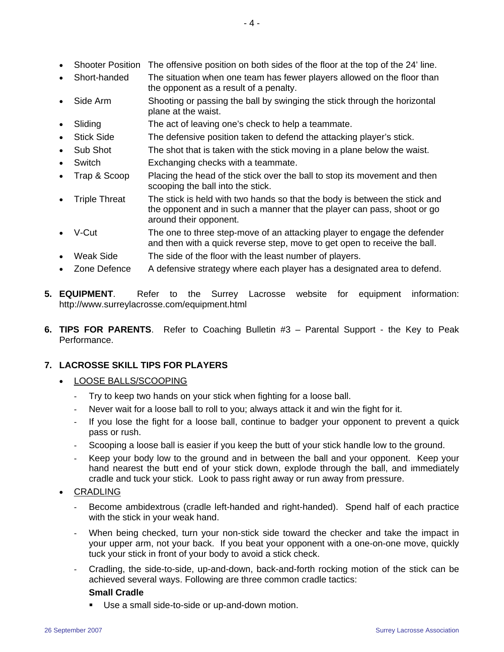- Short-handed The situation when one team has fewer players allowed on the floor than the opponent as a result of a penalty.
- Side Arm Shooting or passing the ball by swinging the stick through the horizontal plane at the waist.
- Sliding The act of leaving one's check to help a teammate.
- Stick Side The defensive position taken to defend the attacking player's stick.
- Sub Shot The shot that is taken with the stick moving in a plane below the waist.
- Switch Exchanging checks with a teammate.
- Trap & Scoop Placing the head of the stick over the ball to stop its movement and then scooping the ball into the stick.
- Triple Threat The stick is held with two hands so that the body is between the stick and the opponent and in such a manner that the player can pass, shoot or go around their opponent.
- V-Cut The one to three step-move of an attacking player to engage the defender and then with a quick reverse step, move to get open to receive the ball.
- Weak Side The side of the floor with the least number of players.
- Zone Defence A defensive strategy where each player has a designated area to defend.
- **5. EQUIPMENT**. Refer to the Surrey Lacrosse website for equipment information: http://www.surreylacrosse.com/equipment.html
- **6. TIPS FOR PARENTS**. Refer to Coaching Bulletin #3 Parental Support the Key to Peak Performance.

# **7. LACROSSE SKILL TIPS FOR PLAYERS**

- LOOSE BALLS/SCOOPING
	- Try to keep two hands on your stick when fighting for a loose ball.
	- Never wait for a loose ball to roll to you; always attack it and win the fight for it.
	- If you lose the fight for a loose ball, continue to badger your opponent to prevent a quick pass or rush.
	- Scooping a loose ball is easier if you keep the butt of your stick handle low to the ground.
	- Keep your body low to the ground and in between the ball and your opponent. Keep your hand nearest the butt end of your stick down, explode through the ball, and immediately cradle and tuck your stick. Look to pass right away or run away from pressure.
- CRADLING
	- Become ambidextrous (cradle left-handed and right-handed). Spend half of each practice with the stick in your weak hand.
	- When being checked, turn your non-stick side toward the checker and take the impact in your upper arm, not your back. If you beat your opponent with a one-on-one move, quickly tuck your stick in front of your body to avoid a stick check.
	- Cradling, the side-to-side, up-and-down, back-and-forth rocking motion of the stick can be achieved several ways. Following are three common cradle tactics:

# **Small Cradle**

Use a small side-to-side or up-and-down motion.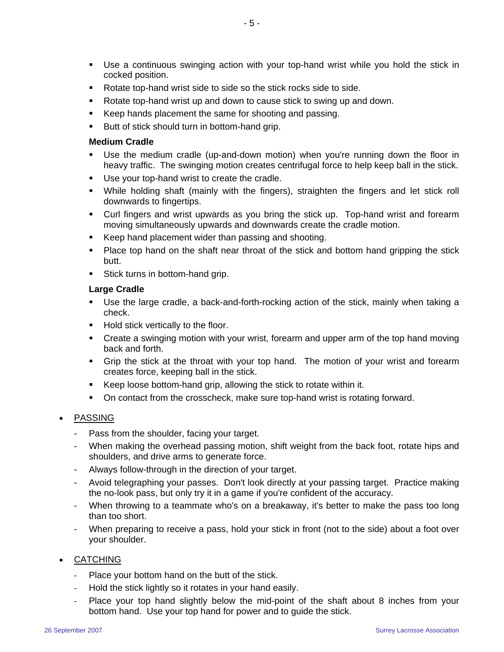- Use a continuous swinging action with your top-hand wrist while you hold the stick in cocked position.
- Rotate top-hand wrist side to side so the stick rocks side to side.
- Rotate top-hand wrist up and down to cause stick to swing up and down.
- Keep hands placement the same for shooting and passing.
- **Butt of stick should turn in bottom-hand grip.**

#### **Medium Cradle**

- Use the medium cradle (up-and-down motion) when you're running down the floor in heavy traffic. The swinging motion creates centrifugal force to help keep ball in the stick.
- Use your top-hand wrist to create the cradle.
- While holding shaft (mainly with the fingers), straighten the fingers and let stick roll downwards to fingertips.
- Curl fingers and wrist upwards as you bring the stick up. Top-hand wrist and forearm moving simultaneously upwards and downwards create the cradle motion.
- Keep hand placement wider than passing and shooting.
- Place top hand on the shaft near throat of the stick and bottom hand gripping the stick butt.
- **Stick turns in bottom-hand grip.**

# **Large Cradle**

- Use the large cradle, a back-and-forth-rocking action of the stick, mainly when taking a check.
- Hold stick vertically to the floor.
- Create a swinging motion with your wrist, forearm and upper arm of the top hand moving back and forth.
- Grip the stick at the throat with your top hand. The motion of your wrist and forearm creates force, keeping ball in the stick.
- Keep loose bottom-hand grip, allowing the stick to rotate within it.
- On contact from the crosscheck, make sure top-hand wrist is rotating forward.

# **PASSING**

- Pass from the shoulder, facing your target.
- When making the overhead passing motion, shift weight from the back foot, rotate hips and shoulders, and drive arms to generate force.
- Always follow-through in the direction of your target.
- Avoid telegraphing your passes. Don't look directly at your passing target. Practice making the no-look pass, but only try it in a game if you're confident of the accuracy.
- When throwing to a teammate who's on a breakaway, it's better to make the pass too long than too short.
- When preparing to receive a pass, hold your stick in front (not to the side) about a foot over your shoulder.

# • CATCHING

- Place your bottom hand on the butt of the stick.
- Hold the stick lightly so it rotates in your hand easily.
- Place your top hand slightly below the mid-point of the shaft about 8 inches from your bottom hand. Use your top hand for power and to guide the stick.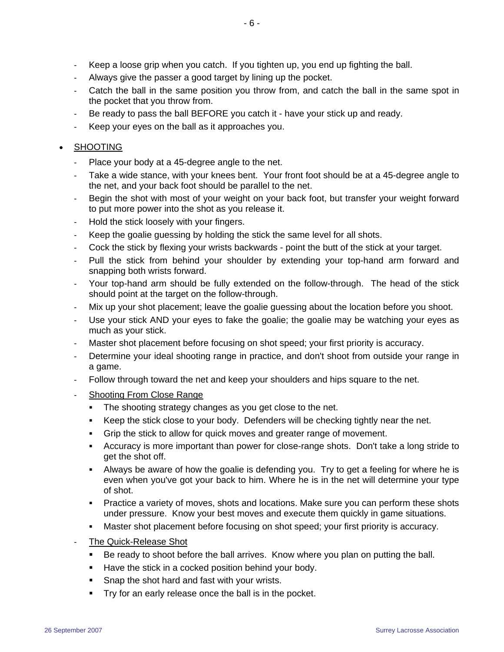- Keep a loose grip when you catch. If you tighten up, you end up fighting the ball.
- Always give the passer a good target by lining up the pocket.
- Catch the ball in the same position you throw from, and catch the ball in the same spot in the pocket that you throw from.
- Be ready to pass the ball BEFORE you catch it have your stick up and ready.
- Keep your eyes on the ball as it approaches you.

### **SHOOTING**

- Place your body at a 45-degree angle to the net.
- Take a wide stance, with your knees bent. Your front foot should be at a 45-degree angle to the net, and your back foot should be parallel to the net.
- Begin the shot with most of your weight on your back foot, but transfer your weight forward to put more power into the shot as you release it.
- Hold the stick loosely with your fingers.
- Keep the goalie guessing by holding the stick the same level for all shots.
- Cock the stick by flexing your wrists backwards point the butt of the stick at your target.
- Pull the stick from behind your shoulder by extending your top-hand arm forward and snapping both wrists forward.
- Your top-hand arm should be fully extended on the follow-through. The head of the stick should point at the target on the follow-through.
- Mix up your shot placement; leave the goalie guessing about the location before you shoot.
- Use your stick AND your eyes to fake the goalie; the goalie may be watching your eyes as much as your stick.
- Master shot placement before focusing on shot speed; your first priority is accuracy.
- Determine your ideal shooting range in practice, and don't shoot from outside your range in a game.
- Follow through toward the net and keep your shoulders and hips square to the net.
- Shooting From Close Range
	- The shooting strategy changes as you get close to the net.
	- Keep the stick close to your body. Defenders will be checking tightly near the net.
	- Grip the stick to allow for quick moves and greater range of movement.
	- Accuracy is more important than power for close-range shots. Don't take a long stride to get the shot off.
	- Always be aware of how the goalie is defending you. Try to get a feeling for where he is even when you've got your back to him. Where he is in the net will determine your type of shot.
	- Practice a variety of moves, shots and locations. Make sure you can perform these shots under pressure. Know your best moves and execute them quickly in game situations.
	- Master shot placement before focusing on shot speed; your first priority is accuracy.
- The Quick-Release Shot
	- **Be ready to shoot before the ball arrives. Know where you plan on putting the ball.**
	- Have the stick in a cocked position behind your body.
	- **Shap the shot hard and fast with your wrists.**
	- Try for an early release once the ball is in the pocket.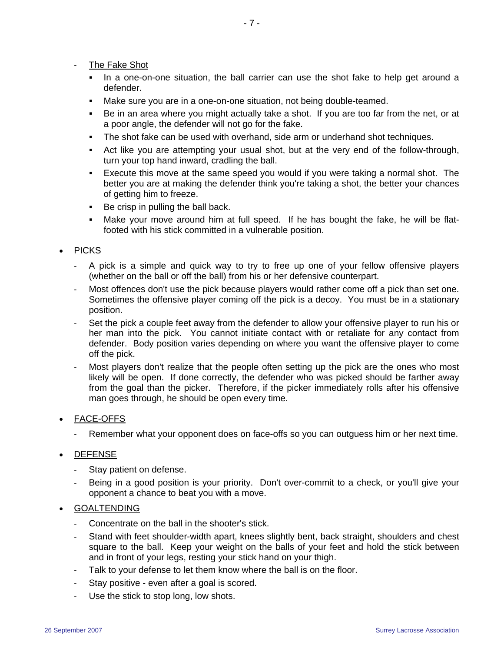- The Fake Shot
	- In a one-on-one situation, the ball carrier can use the shot fake to help get around a defender.
	- Make sure you are in a one-on-one situation, not being double-teamed.
	- Be in an area where you might actually take a shot. If you are too far from the net, or at a poor angle, the defender will not go for the fake.
	- The shot fake can be used with overhand, side arm or underhand shot techniques.
	- Act like you are attempting your usual shot, but at the very end of the follow-through, turn your top hand inward, cradling the ball.
	- Execute this move at the same speed you would if you were taking a normal shot. The better you are at making the defender think you're taking a shot, the better your chances of getting him to freeze.
	- Be crisp in pulling the ball back.
	- Make your move around him at full speed. If he has bought the fake, he will be flatfooted with his stick committed in a vulnerable position.

# **PICKS**

- A pick is a simple and quick way to try to free up one of your fellow offensive players (whether on the ball or off the ball) from his or her defensive counterpart.
- Most offences don't use the pick because players would rather come off a pick than set one. Sometimes the offensive player coming off the pick is a decoy. You must be in a stationary position.
- Set the pick a couple feet away from the defender to allow your offensive player to run his or her man into the pick. You cannot initiate contact with or retaliate for any contact from defender. Body position varies depending on where you want the offensive player to come off the pick.
- Most players don't realize that the people often setting up the pick are the ones who most likely will be open. If done correctly, the defender who was picked should be farther away from the goal than the picker. Therefore, if the picker immediately rolls after his offensive man goes through, he should be open every time.

# • FACE-OFFS

- Remember what your opponent does on face-offs so you can outguess him or her next time.

# • DEFENSE

- Stay patient on defense.
- Being in a good position is your priority. Don't over-commit to a check, or you'll give your opponent a chance to beat you with a move.

#### • GOALTENDING

- Concentrate on the ball in the shooter's stick.
- Stand with feet shoulder-width apart, knees slightly bent, back straight, shoulders and chest square to the ball. Keep your weight on the balls of your feet and hold the stick between and in front of your legs, resting your stick hand on your thigh.
- Talk to your defense to let them know where the ball is on the floor.
- Stay positive even after a goal is scored.
- Use the stick to stop long, low shots.